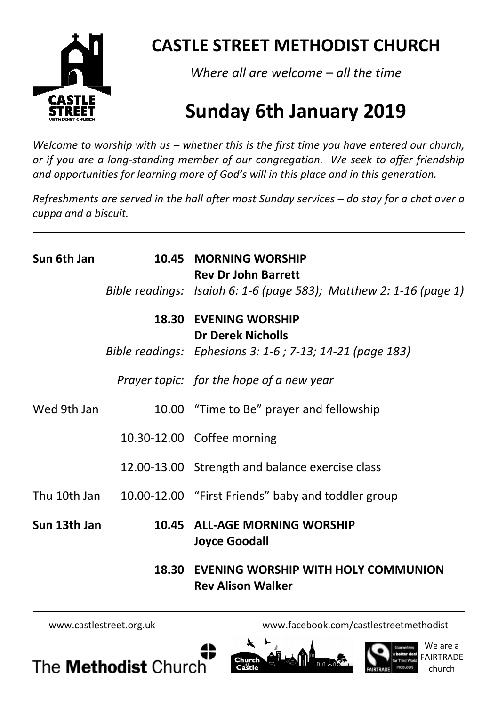

# **CASTLE STREET METHODIST CHURCH**

*Where all are welcome – all the time* 

# **Sunday 6th January 2019**

*Welcome to worship with us – whether this is the first time you have entered our church, or if you are a long-standing member of our congregation. We seek to offer friendship and opportunities for learning more of God's will in this place and in this generation.* 

*Refreshments are served in the hall after most Sunday services – do stay for a chat over a cuppa and a biscuit.*

| Sun 6th Jan  |       | 10.45 MORNING WORSHIP<br><b>Rev Dr John Barrett</b>                |
|--------------|-------|--------------------------------------------------------------------|
|              |       | Bible readings: Isaiah 6: 1-6 (page 583); Matthew 2: 1-16 (page 1) |
|              | 18.30 | <b>EVENING WORSHIP</b><br><b>Dr Derek Nicholls</b>                 |
|              |       | Bible readings: Ephesians 3: 1-6 ; 7-13; 14-21 (page 183)          |
|              |       | Prayer topic: for the hope of a new year                           |
| Wed 9th Jan  |       | 10.00 "Time to Be" prayer and fellowship                           |
|              |       | 10.30-12.00 Coffee morning                                         |
|              |       | 12.00-13.00 Strength and balance exercise class                    |
|              |       | Thu 10th Jan 10.00-12.00 "First Friends" baby and toddler group    |
| Sun 13th Jan |       | 10.45 ALL-AGE MORNING WORSHIP<br><b>Joyce Goodall</b>              |
|              | 18.30 | EVENING WORSHIP WITH HOLY COMMUNION                                |

 **Rev Alison Walker** 

www.castlestreet.org.uk www.facebook.com/castlestreetmethodist







We are a FAIRTRADE church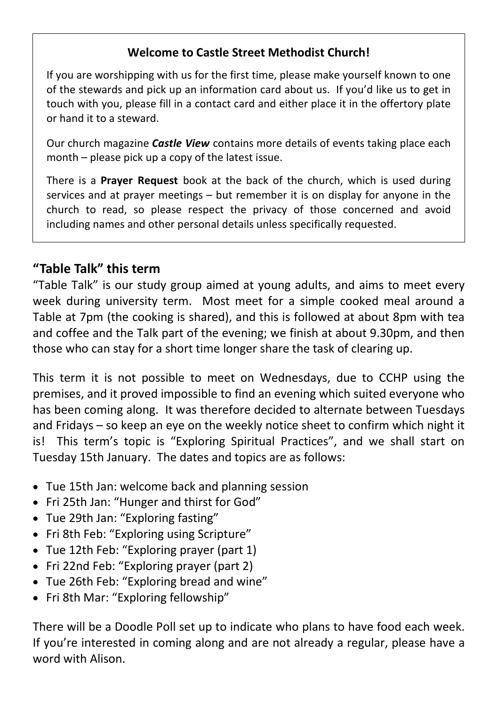### **Welcome to Castle Street Methodist Church!**

If you are worshipping with us for the first time, please make yourself known to one of the stewards and pick up an information card about us. If you'd like us to get in touch with you, please fill in a contact card and either place it in the offertory plate or hand it to a steward.

Our church magazine *Castle View* contains more details of events taking place each month – please pick up a copy of the latest issue.

There is a **Prayer Request** book at the back of the church, which is used during services and at prayer meetings – but remember it is on display for anyone in the church to read, so please respect the privacy of those concerned and avoid including names and other personal details unless specifically requested.

### **"Table Talk" this term**

"Table Talk" is our study group aimed at young adults, and aims to meet every week during university term. Most meet for a simple cooked meal around a Table at 7pm (the cooking is shared), and this is followed at about 8pm with tea and coffee and the Talk part of the evening; we finish at about 9.30pm, and then those who can stay for a short time longer share the task of clearing up.

This term it is not possible to meet on Wednesdays, due to CCHP using the premises, and it proved impossible to find an evening which suited everyone who has been coming along. It was therefore decided to alternate between Tuesdays and Fridays – so keep an eye on the weekly notice sheet to confirm which night it is! This term's topic is "Exploring Spiritual Practices", and we shall start on Tuesday 15th January. The dates and topics are as follows:

- Tue 15th Jan: welcome back and planning session
- Fri 25th Jan: "Hunger and thirst for God"
- Tue 29th Jan: "Exploring fasting"
- Fri 8th Feb: "Exploring using Scripture"
- Tue 12th Feb: "Exploring prayer (part 1)
- Fri 22nd Feb: "Exploring prayer (part 2)
- Tue 26th Feb: "Exploring bread and wine"
- Fri 8th Mar: "Exploring fellowship"

There will be a Doodle Poll set up to indicate who plans to have food each week. If you're interested in coming along and are not already a regular, please have a word with Alison.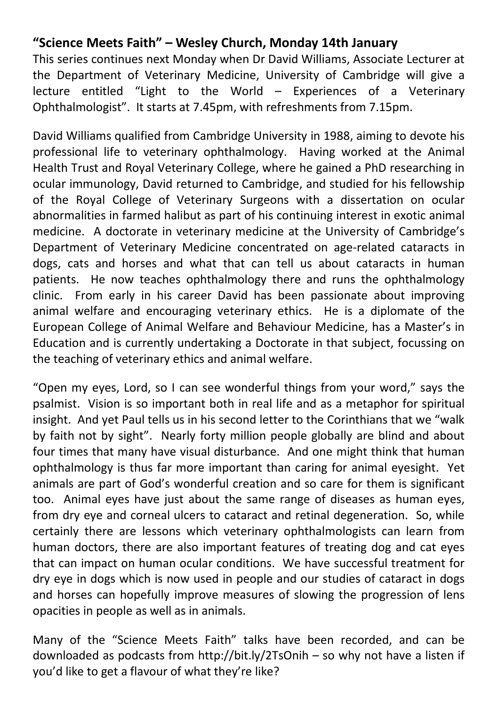# **"Science Meets Faith" – Wesley Church, Monday 14th January**

This series continues next Monday when Dr David Williams, Associate Lecturer at the Department of Veterinary Medicine, University of Cambridge will give a lecture entitled "Light to the World – Experiences of a Veterinary Ophthalmologist". It starts at 7.45pm, with refreshments from 7.15pm.

David Williams qualified from Cambridge University in 1988, aiming to devote his professional life to veterinary ophthalmology. Having worked at the Animal Health Trust and Royal Veterinary College, where he gained a PhD researching in ocular immunology, David returned to Cambridge, and studied for his fellowship of the Royal College of Veterinary Surgeons with a dissertation on ocular abnormalities in farmed halibut as part of his continuing interest in exotic animal medicine. A doctorate in veterinary medicine at the University of Cambridge's Department of Veterinary Medicine concentrated on age-related cataracts in dogs, cats and horses and what that can tell us about cataracts in human patients. He now teaches ophthalmology there and runs the ophthalmology clinic. From early in his career David has been passionate about improving animal welfare and encouraging veterinary ethics. He is a diplomate of the European College of Animal Welfare and Behaviour Medicine, has a Master's in Education and is currently undertaking a Doctorate in that subject, focussing on the teaching of veterinary ethics and animal welfare.

"Open my eyes, Lord, so I can see wonderful things from your word," says the psalmist. Vision is so important both in real life and as a metaphor for spiritual insight. And yet Paul tells us in his second letter to the Corinthians that we "walk by faith not by sight". Nearly forty million people globally are blind and about four times that many have visual disturbance. And one might think that human ophthalmology is thus far more important than caring for animal eyesight. Yet animals are part of God's wonderful creation and so care for them is significant too. Animal eyes have just about the same range of diseases as human eyes, from dry eye and corneal ulcers to cataract and retinal degeneration. So, while certainly there are lessons which veterinary ophthalmologists can learn from human doctors, there are also important features of treating dog and cat eyes that can impact on human ocular conditions. We have successful treatment for dry eye in dogs which is now used in people and our studies of cataract in dogs and horses can hopefully improve measures of slowing the progression of lens opacities in people as well as in animals.

Many of the "Science Meets Faith" talks have been recorded, and can be downloaded as podcasts from http://bit.ly/2TsOnih – so why not have a listen if you'd like to get a flavour of what they're like?